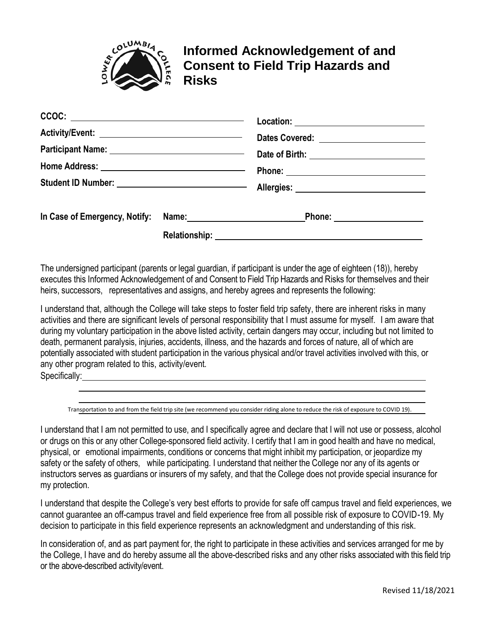

## **Informed Acknowledgement of and Consent to Field Trip Hazards and Risks**

| $\texttt{CCOC:}$                                   |  |  |
|----------------------------------------------------|--|--|
| Activity/Event: __________________________________ |  |  |
|                                                    |  |  |
|                                                    |  |  |
|                                                    |  |  |
|                                                    |  |  |
|                                                    |  |  |

The undersigned participant (parents or legal guardian, if participant is under the age of eighteen (18)), hereby executes this Informed Acknowledgement of and Consent to Field Trip Hazards and Risks for themselves and their heirs, successors, representatives and assigns, and hereby agrees and represents the following:

I understand that, although the College will take steps to foster field trip safety, there are inherent risks in many activities and there are significant levels of personal responsibility that I must assume for myself. I am aware that during my voluntary participation in the above listed activity, certain dangers may occur, including but not limited to death, permanent paralysis, injuries, accidents, illness, and the hazards and forces of nature, all of which are potentially associated with student participation in the various physical and/or travel activities involved with this, or any other program related to this, activity/event.

Specifically:

Transportation to and from the field trip site (we recommend you consider riding alone to reduce the risk of exposure to COVID 19).

I understand that I am not permitted to use, and I specifically agree and declare that I will not use or possess, alcohol or drugs on this or any other College-sponsored field activity. I certify that I am in good health and have no medical, physical, or emotional impairments, conditions or concerns that might inhibit my participation, or jeopardize my safety or the safety of others, while participating. I understand that neither the College nor any of its agents or instructors serves as guardians or insurers of my safety, and that the College does not provide special insurance for my protection.

I understand that despite the College's very best efforts to provide for safe off campus travel and field experiences, we cannot guarantee an off-campus travel and field experience free from all possible risk of exposure to COVID-19. My decision to participate in this field experience represents an acknowledgment and understanding of this risk.

In consideration of, and as part payment for, the right to participate in these activities and services arranged for me by the College, I have and do hereby assume all the above-described risks and any other risks associated with this field trip or the above-described activity/event.